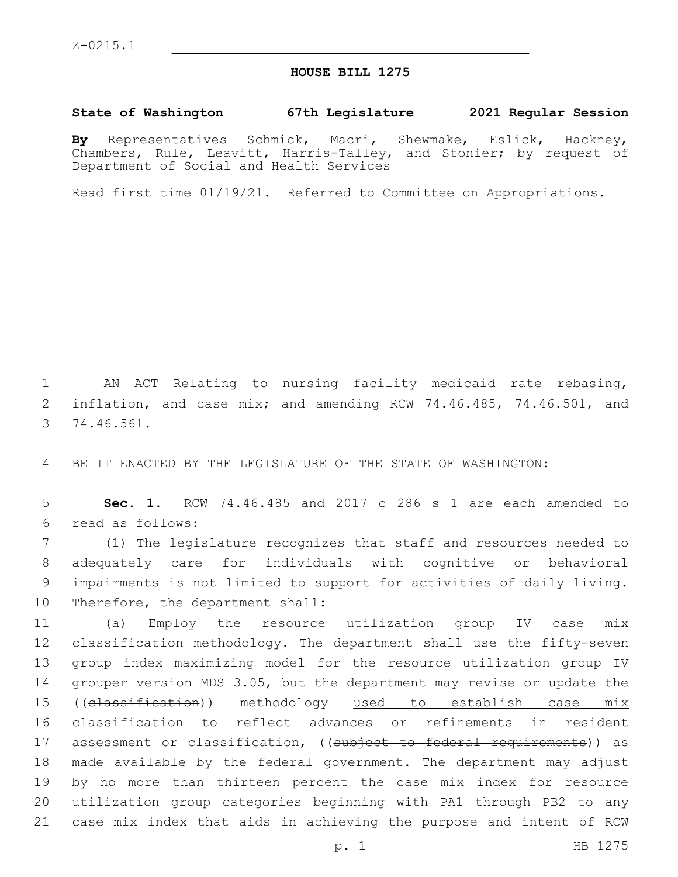## **HOUSE BILL 1275**

## **State of Washington 67th Legislature 2021 Regular Session**

**By** Representatives Schmick, Macri, Shewmake, Eslick, Hackney, Chambers, Rule, Leavitt, Harris-Talley, and Stonier; by request of Department of Social and Health Services

Read first time 01/19/21. Referred to Committee on Appropriations.

1 AN ACT Relating to nursing facility medicaid rate rebasing, 2 inflation, and case mix; and amending RCW 74.46.485, 74.46.501, and 74.46.561.3

4 BE IT ENACTED BY THE LEGISLATURE OF THE STATE OF WASHINGTON:

5 **Sec. 1.** RCW 74.46.485 and 2017 c 286 s 1 are each amended to read as follows:6

 (1) The legislature recognizes that staff and resources needed to adequately care for individuals with cognitive or behavioral impairments is not limited to support for activities of daily living. 10 Therefore, the department shall:

 (a) Employ the resource utilization group IV case mix classification methodology. The department shall use the fifty-seven group index maximizing model for the resource utilization group IV grouper version MDS 3.05, but the department may revise or update the 15 ((classification)) methodology used to establish case mix classification to reflect advances or refinements in resident 17 assessment or classification, ((subject to federal requirements)) as 18 made available by the federal government. The department may adjust by no more than thirteen percent the case mix index for resource utilization group categories beginning with PA1 through PB2 to any case mix index that aids in achieving the purpose and intent of RCW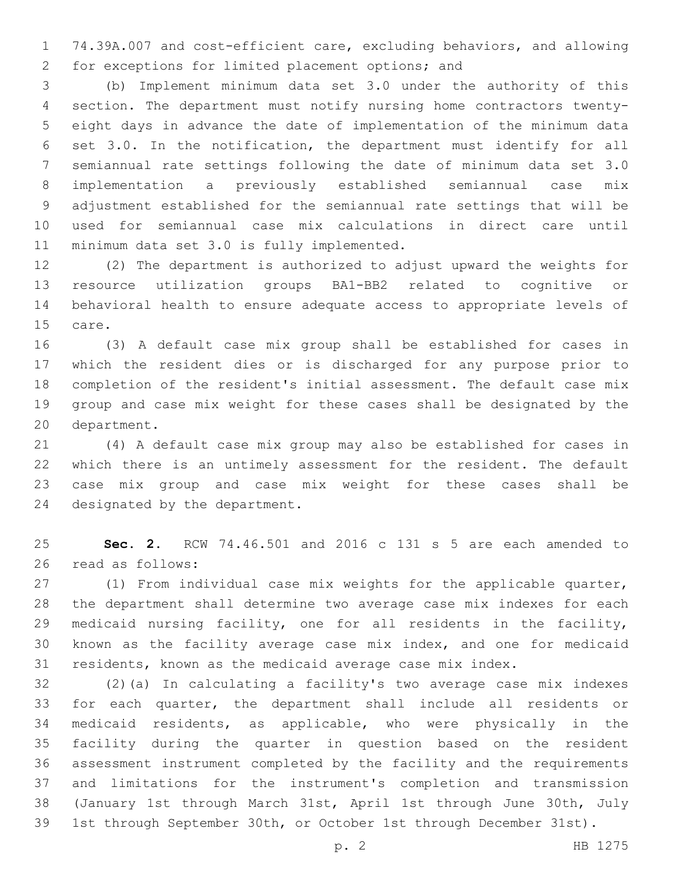74.39A.007 and cost-efficient care, excluding behaviors, and allowing 2 for exceptions for limited placement options; and

 (b) Implement minimum data set 3.0 under the authority of this section. The department must notify nursing home contractors twenty- eight days in advance the date of implementation of the minimum data set 3.0. In the notification, the department must identify for all semiannual rate settings following the date of minimum data set 3.0 implementation a previously established semiannual case mix adjustment established for the semiannual rate settings that will be used for semiannual case mix calculations in direct care until 11 minimum data set 3.0 is fully implemented.

 (2) The department is authorized to adjust upward the weights for resource utilization groups BA1-BB2 related to cognitive or behavioral health to ensure adequate access to appropriate levels of 15 care.

 (3) A default case mix group shall be established for cases in which the resident dies or is discharged for any purpose prior to completion of the resident's initial assessment. The default case mix group and case mix weight for these cases shall be designated by the 20 department.

 (4) A default case mix group may also be established for cases in which there is an untimely assessment for the resident. The default case mix group and case mix weight for these cases shall be 24 designated by the department.

 **Sec. 2.** RCW 74.46.501 and 2016 c 131 s 5 are each amended to 26 read as follows:

 (1) From individual case mix weights for the applicable quarter, the department shall determine two average case mix indexes for each medicaid nursing facility, one for all residents in the facility, known as the facility average case mix index, and one for medicaid residents, known as the medicaid average case mix index.

 (2)(a) In calculating a facility's two average case mix indexes for each quarter, the department shall include all residents or medicaid residents, as applicable, who were physically in the facility during the quarter in question based on the resident assessment instrument completed by the facility and the requirements and limitations for the instrument's completion and transmission (January 1st through March 31st, April 1st through June 30th, July 1st through September 30th, or October 1st through December 31st).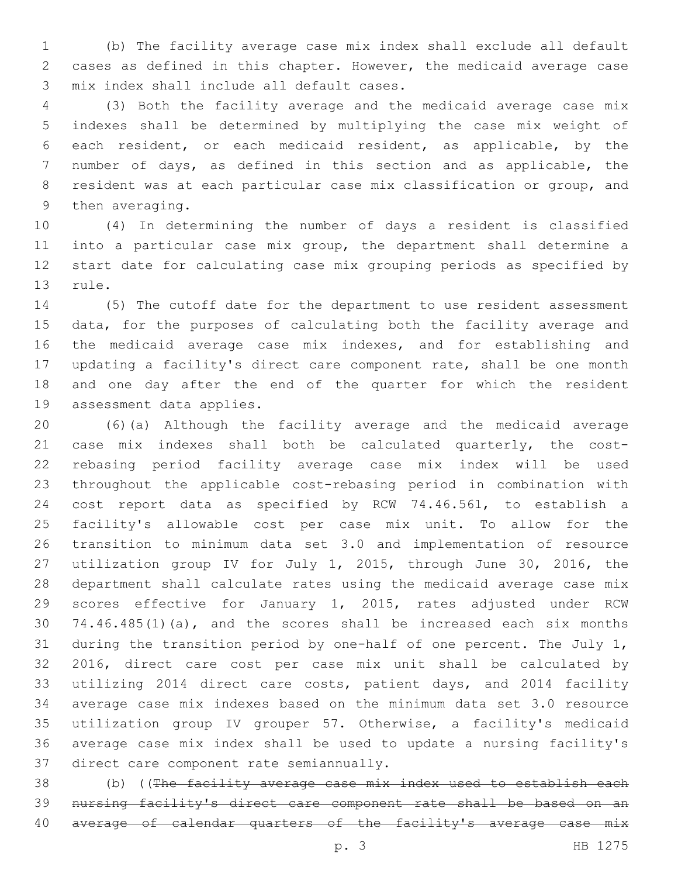(b) The facility average case mix index shall exclude all default cases as defined in this chapter. However, the medicaid average case 3 mix index shall include all default cases.

 (3) Both the facility average and the medicaid average case mix indexes shall be determined by multiplying the case mix weight of each resident, or each medicaid resident, as applicable, by the number of days, as defined in this section and as applicable, the resident was at each particular case mix classification or group, and 9 then averaging.

 (4) In determining the number of days a resident is classified into a particular case mix group, the department shall determine a start date for calculating case mix grouping periods as specified by 13 rule.

 (5) The cutoff date for the department to use resident assessment data, for the purposes of calculating both the facility average and the medicaid average case mix indexes, and for establishing and updating a facility's direct care component rate, shall be one month and one day after the end of the quarter for which the resident 19 assessment data applies.

 (6)(a) Although the facility average and the medicaid average case mix indexes shall both be calculated quarterly, the cost- rebasing period facility average case mix index will be used throughout the applicable cost-rebasing period in combination with cost report data as specified by RCW 74.46.561, to establish a facility's allowable cost per case mix unit. To allow for the transition to minimum data set 3.0 and implementation of resource utilization group IV for July 1, 2015, through June 30, 2016, the department shall calculate rates using the medicaid average case mix scores effective for January 1, 2015, rates adjusted under RCW 74.46.485(1)(a), and the scores shall be increased each six months during the transition period by one-half of one percent. The July 1, 2016, direct care cost per case mix unit shall be calculated by utilizing 2014 direct care costs, patient days, and 2014 facility average case mix indexes based on the minimum data set 3.0 resource utilization group IV grouper 57. Otherwise, a facility's medicaid average case mix index shall be used to update a nursing facility's 37 direct care component rate semiannually.

 (b) ((The facility average case mix index used to establish each nursing facility's direct care component rate shall be based on an 40 average of calendar quarters of the facility's average case mix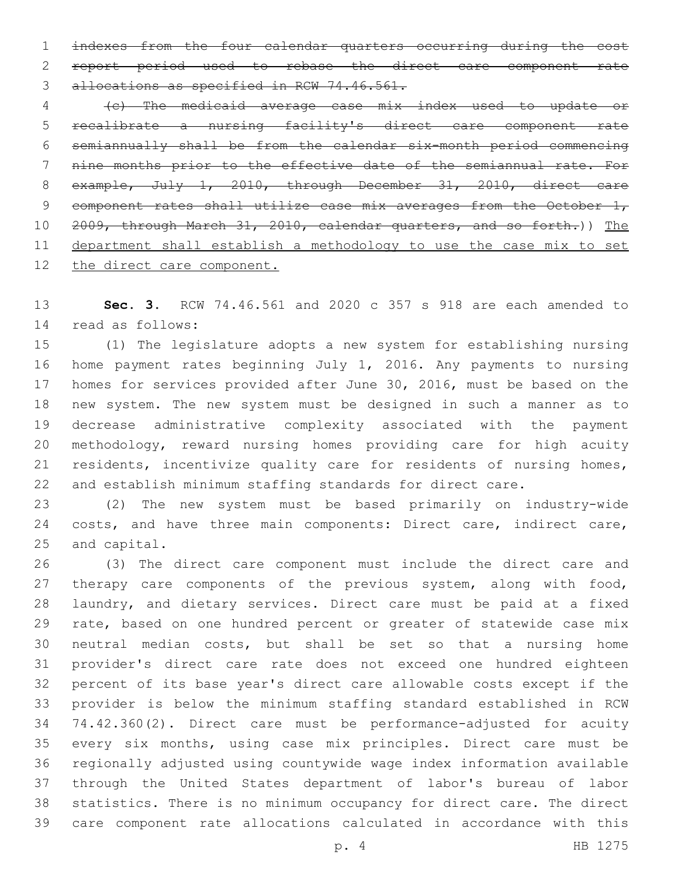indexes from the four calendar quarters occurring during the cost report period used to rebase the direct care component rate 3 allocations as specified in RCW 74.46.561.

 (c) The medicaid average case mix index used to update or recalibrate a nursing facility's direct care component rate semiannually shall be from the calendar six-month period commencing nine months prior to the effective date of the semiannual rate. For 8 example, July 1, 2010, through December 31, 2010, direct care 9 component rates shall utilize case mix averages from the October  $1<sub>r</sub>$  2009, through March 31, 2010, calendar quarters, and so forth.)) The department shall establish a methodology to use the case mix to set the direct care component.

 **Sec. 3.** RCW 74.46.561 and 2020 c 357 s 918 are each amended to 14 read as follows:

 (1) The legislature adopts a new system for establishing nursing home payment rates beginning July 1, 2016. Any payments to nursing homes for services provided after June 30, 2016, must be based on the new system. The new system must be designed in such a manner as to decrease administrative complexity associated with the payment methodology, reward nursing homes providing care for high acuity residents, incentivize quality care for residents of nursing homes, and establish minimum staffing standards for direct care.

 (2) The new system must be based primarily on industry-wide 24 costs, and have three main components: Direct care, indirect care, 25 and capital.

 (3) The direct care component must include the direct care and 27 therapy care components of the previous system, along with food, laundry, and dietary services. Direct care must be paid at a fixed rate, based on one hundred percent or greater of statewide case mix neutral median costs, but shall be set so that a nursing home provider's direct care rate does not exceed one hundred eighteen percent of its base year's direct care allowable costs except if the provider is below the minimum staffing standard established in RCW 74.42.360(2). Direct care must be performance-adjusted for acuity every six months, using case mix principles. Direct care must be regionally adjusted using countywide wage index information available through the United States department of labor's bureau of labor statistics. There is no minimum occupancy for direct care. The direct care component rate allocations calculated in accordance with this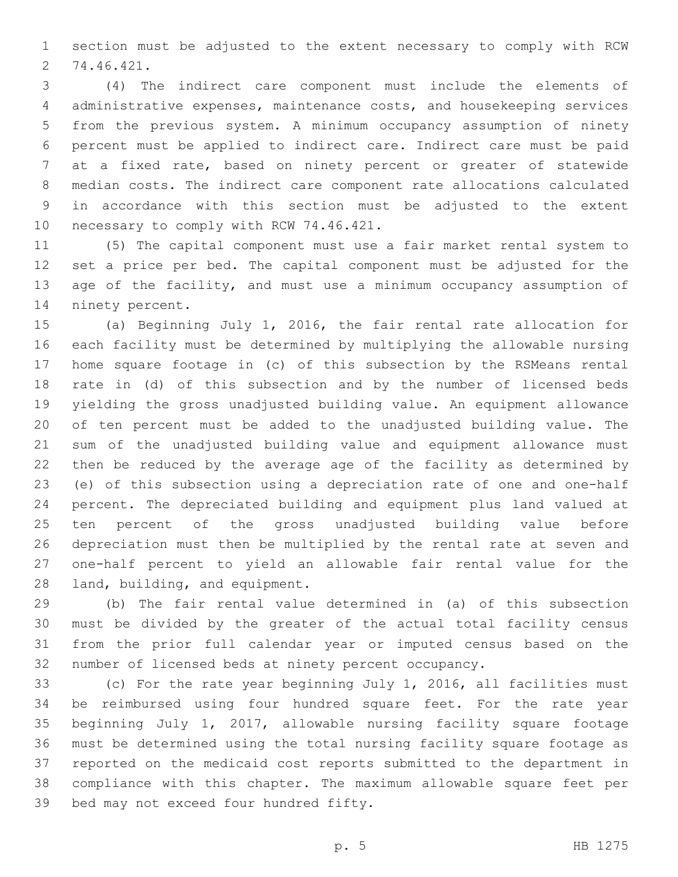section must be adjusted to the extent necessary to comply with RCW 74.46.421.2

 (4) The indirect care component must include the elements of administrative expenses, maintenance costs, and housekeeping services from the previous system. A minimum occupancy assumption of ninety percent must be applied to indirect care. Indirect care must be paid at a fixed rate, based on ninety percent or greater of statewide median costs. The indirect care component rate allocations calculated in accordance with this section must be adjusted to the extent 10 necessary to comply with RCW 74.46.421.

 (5) The capital component must use a fair market rental system to set a price per bed. The capital component must be adjusted for the age of the facility, and must use a minimum occupancy assumption of 14 ninety percent.

 (a) Beginning July 1, 2016, the fair rental rate allocation for each facility must be determined by multiplying the allowable nursing home square footage in (c) of this subsection by the RSMeans rental rate in (d) of this subsection and by the number of licensed beds yielding the gross unadjusted building value. An equipment allowance of ten percent must be added to the unadjusted building value. The sum of the unadjusted building value and equipment allowance must then be reduced by the average age of the facility as determined by (e) of this subsection using a depreciation rate of one and one-half percent. The depreciated building and equipment plus land valued at ten percent of the gross unadjusted building value before depreciation must then be multiplied by the rental rate at seven and one-half percent to yield an allowable fair rental value for the 28 land, building, and equipment.

 (b) The fair rental value determined in (a) of this subsection must be divided by the greater of the actual total facility census from the prior full calendar year or imputed census based on the number of licensed beds at ninety percent occupancy.

 (c) For the rate year beginning July 1, 2016, all facilities must be reimbursed using four hundred square feet. For the rate year beginning July 1, 2017, allowable nursing facility square footage must be determined using the total nursing facility square footage as reported on the medicaid cost reports submitted to the department in compliance with this chapter. The maximum allowable square feet per 39 bed may not exceed four hundred fifty.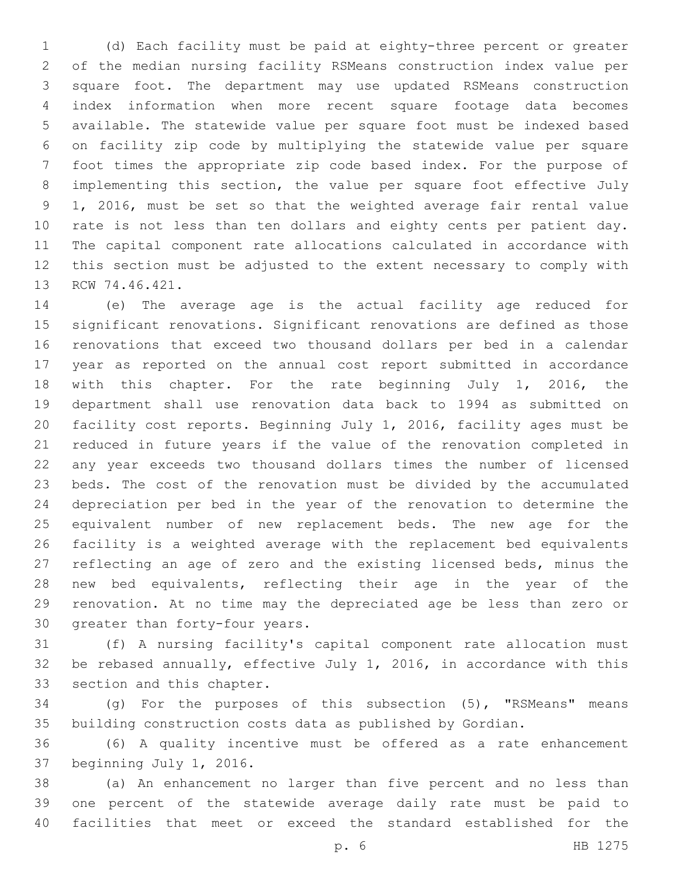(d) Each facility must be paid at eighty-three percent or greater of the median nursing facility RSMeans construction index value per square foot. The department may use updated RSMeans construction index information when more recent square footage data becomes available. The statewide value per square foot must be indexed based on facility zip code by multiplying the statewide value per square foot times the appropriate zip code based index. For the purpose of implementing this section, the value per square foot effective July 1, 2016, must be set so that the weighted average fair rental value rate is not less than ten dollars and eighty cents per patient day. The capital component rate allocations calculated in accordance with this section must be adjusted to the extent necessary to comply with 13 RCW 74.46.421.

 (e) The average age is the actual facility age reduced for significant renovations. Significant renovations are defined as those renovations that exceed two thousand dollars per bed in a calendar year as reported on the annual cost report submitted in accordance with this chapter. For the rate beginning July 1, 2016, the department shall use renovation data back to 1994 as submitted on facility cost reports. Beginning July 1, 2016, facility ages must be reduced in future years if the value of the renovation completed in any year exceeds two thousand dollars times the number of licensed beds. The cost of the renovation must be divided by the accumulated depreciation per bed in the year of the renovation to determine the equivalent number of new replacement beds. The new age for the facility is a weighted average with the replacement bed equivalents reflecting an age of zero and the existing licensed beds, minus the new bed equivalents, reflecting their age in the year of the renovation. At no time may the depreciated age be less than zero or 30 greater than forty-four years.

 (f) A nursing facility's capital component rate allocation must be rebased annually, effective July 1, 2016, in accordance with this 33 section and this chapter.

 (g) For the purposes of this subsection (5), "RSMeans" means building construction costs data as published by Gordian.

 (6) A quality incentive must be offered as a rate enhancement 37 beginning July 1, 2016.

 (a) An enhancement no larger than five percent and no less than one percent of the statewide average daily rate must be paid to facilities that meet or exceed the standard established for the

p. 6 HB 1275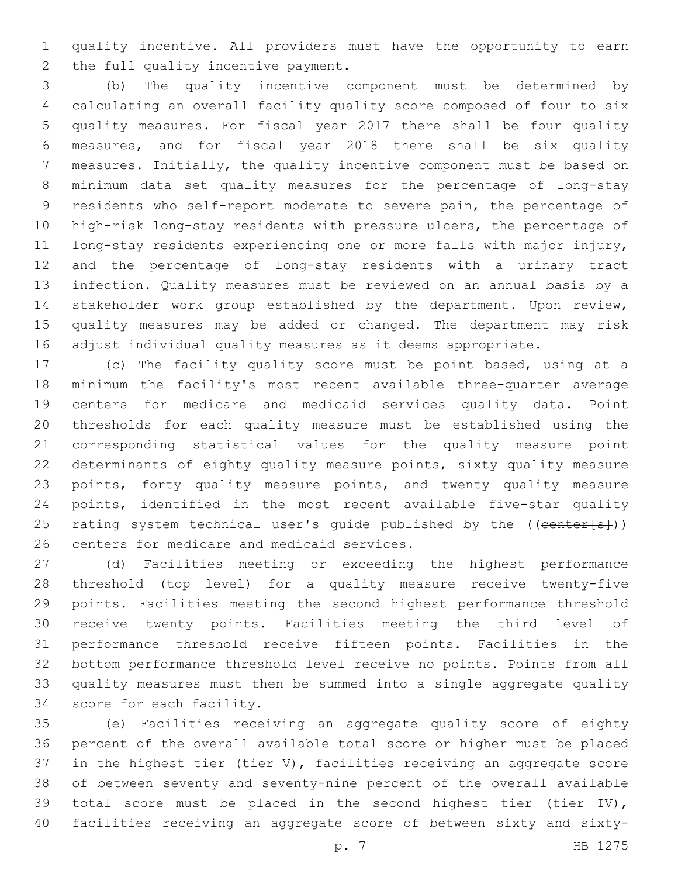quality incentive. All providers must have the opportunity to earn 2 the full quality incentive payment.

 (b) The quality incentive component must be determined by calculating an overall facility quality score composed of four to six quality measures. For fiscal year 2017 there shall be four quality measures, and for fiscal year 2018 there shall be six quality measures. Initially, the quality incentive component must be based on minimum data set quality measures for the percentage of long-stay residents who self-report moderate to severe pain, the percentage of high-risk long-stay residents with pressure ulcers, the percentage of long-stay residents experiencing one or more falls with major injury, and the percentage of long-stay residents with a urinary tract infection. Quality measures must be reviewed on an annual basis by a stakeholder work group established by the department. Upon review, quality measures may be added or changed. The department may risk adjust individual quality measures as it deems appropriate.

 (c) The facility quality score must be point based, using at a minimum the facility's most recent available three-quarter average centers for medicare and medicaid services quality data. Point thresholds for each quality measure must be established using the corresponding statistical values for the quality measure point determinants of eighty quality measure points, sixty quality measure points, forty quality measure points, and twenty quality measure points, identified in the most recent available five-star quality 25 rating system technical user's quide published by the ((center[s])) 26 centers for medicare and medicaid services.

 (d) Facilities meeting or exceeding the highest performance threshold (top level) for a quality measure receive twenty-five points. Facilities meeting the second highest performance threshold receive twenty points. Facilities meeting the third level of performance threshold receive fifteen points. Facilities in the bottom performance threshold level receive no points. Points from all quality measures must then be summed into a single aggregate quality 34 score for each facility.

 (e) Facilities receiving an aggregate quality score of eighty percent of the overall available total score or higher must be placed in the highest tier (tier V), facilities receiving an aggregate score of between seventy and seventy-nine percent of the overall available total score must be placed in the second highest tier (tier IV), facilities receiving an aggregate score of between sixty and sixty-

p. 7 HB 1275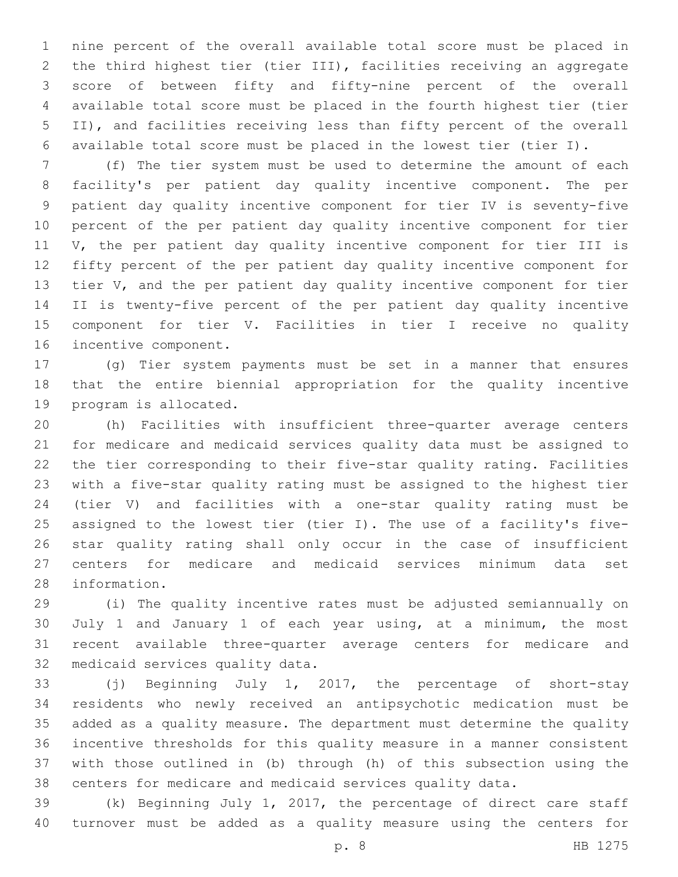nine percent of the overall available total score must be placed in the third highest tier (tier III), facilities receiving an aggregate score of between fifty and fifty-nine percent of the overall available total score must be placed in the fourth highest tier (tier II), and facilities receiving less than fifty percent of the overall available total score must be placed in the lowest tier (tier I).

 (f) The tier system must be used to determine the amount of each facility's per patient day quality incentive component. The per patient day quality incentive component for tier IV is seventy-five percent of the per patient day quality incentive component for tier V, the per patient day quality incentive component for tier III is fifty percent of the per patient day quality incentive component for 13 tier V, and the per patient day quality incentive component for tier II is twenty-five percent of the per patient day quality incentive component for tier V. Facilities in tier I receive no quality 16 incentive component.

 (g) Tier system payments must be set in a manner that ensures that the entire biennial appropriation for the quality incentive 19 program is allocated.

 (h) Facilities with insufficient three-quarter average centers for medicare and medicaid services quality data must be assigned to the tier corresponding to their five-star quality rating. Facilities with a five-star quality rating must be assigned to the highest tier (tier V) and facilities with a one-star quality rating must be assigned to the lowest tier (tier I). The use of a facility's five- star quality rating shall only occur in the case of insufficient centers for medicare and medicaid services minimum data set 28 information.

 (i) The quality incentive rates must be adjusted semiannually on July 1 and January 1 of each year using, at a minimum, the most recent available three-quarter average centers for medicare and 32 medicaid services quality data.

 (j) Beginning July 1, 2017, the percentage of short-stay residents who newly received an antipsychotic medication must be added as a quality measure. The department must determine the quality incentive thresholds for this quality measure in a manner consistent with those outlined in (b) through (h) of this subsection using the centers for medicare and medicaid services quality data.

 (k) Beginning July 1, 2017, the percentage of direct care staff turnover must be added as a quality measure using the centers for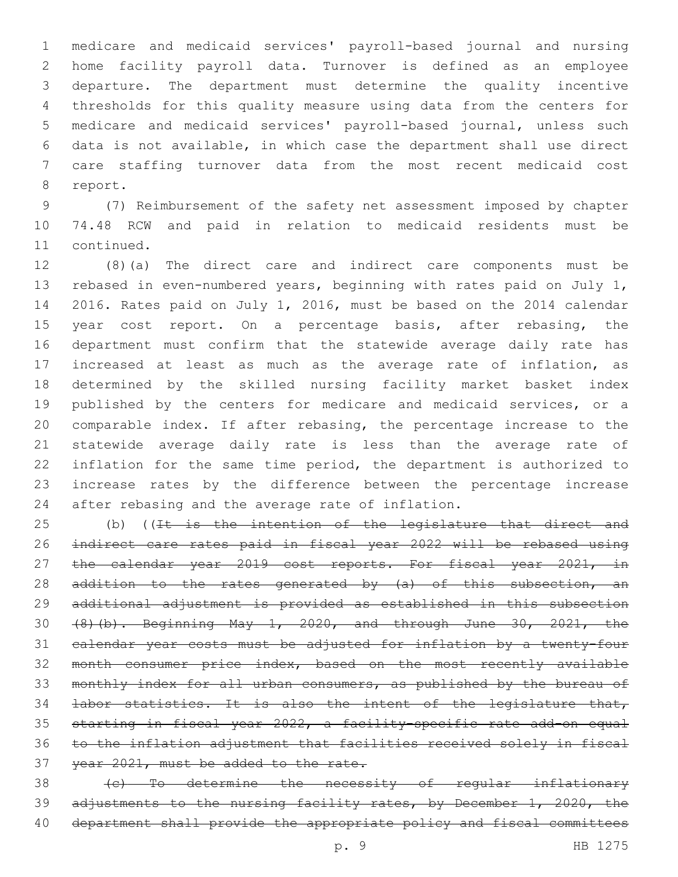medicare and medicaid services' payroll-based journal and nursing home facility payroll data. Turnover is defined as an employee departure. The department must determine the quality incentive thresholds for this quality measure using data from the centers for medicare and medicaid services' payroll-based journal, unless such data is not available, in which case the department shall use direct care staffing turnover data from the most recent medicaid cost 8 report.

 (7) Reimbursement of the safety net assessment imposed by chapter 74.48 RCW and paid in relation to medicaid residents must be 11 continued.

 (8)(a) The direct care and indirect care components must be rebased in even-numbered years, beginning with rates paid on July 1, 2016. Rates paid on July 1, 2016, must be based on the 2014 calendar 15 year cost report. On a percentage basis, after rebasing, the department must confirm that the statewide average daily rate has increased at least as much as the average rate of inflation, as determined by the skilled nursing facility market basket index 19 published by the centers for medicare and medicaid services, or a comparable index. If after rebasing, the percentage increase to the statewide average daily rate is less than the average rate of inflation for the same time period, the department is authorized to increase rates by the difference between the percentage increase 24 after rebasing and the average rate of inflation.

25 (b) ((It is the intention of the legislature that direct and indirect care rates paid in fiscal year 2022 will be rebased using 27 the calendar year 2019 cost reports. For fiscal year 2021, in 28 addition to the rates generated by (a) of this subsection, an additional adjustment is provided as established in this subsection (8)(b). Beginning May 1, 2020, and through June 30, 2021, the calendar year costs must be adjusted for inflation by a twenty-four month consumer price index, based on the most recently available 33 monthly index for all urban consumers, as published by the bureau of 34 labor statistics. It is also the intent of the legislature that, starting in fiscal year 2022, a facility-specific rate add-on equal to the inflation adjustment that facilities received solely in fiscal 37 year 2021, must be added to the rate.

38 (c) To determine the necessity of regular inflationary 39 adjustments to the nursing facility rates, by December 1, 2020, the department shall provide the appropriate policy and fiscal committees